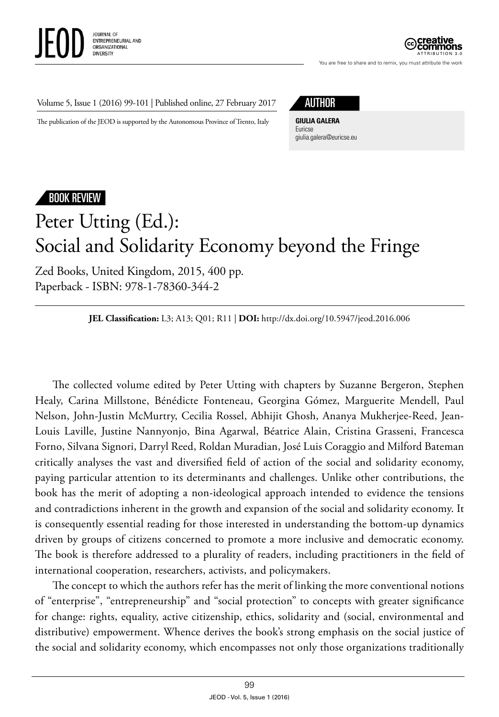



You are free to share and to remix, you must attribute the work

Volume 5, Issue 1 (2016) 99-101 | Published online, 27 February 2017

The publication of the JEOD is supported by the Autonomous Province of Trento, Italy

**GIULIA GALERA** Euricse [giulia.galera@euricse.eu](mailto:giulia.galera@euricse.eu)

## BOOK REVIEW

## Peter Utting (Ed.): Social and Solidarity Economy beyond the Fringe

Zed Books, United Kingdom, 2015, 400 pp. Paperback - ISBN: 978-1-78360-344-2

## **JEL Classification:** L3; A13; Q01; R11 | **DOI:** [http://dx.doi.org/10.5947/jeod.2016.006](http://dx.doi.org/10.5947/jeod.2016.005)

The collected volume edited by Peter Utting with chapters by Suzanne Bergeron, Stephen Healy, Carina Millstone, Bénédicte Fonteneau, Georgina Gómez, Marguerite Mendell, Paul Nelson, John-Justin McMurtry, Cecilia Rossel, Abhijit Ghosh, Ananya Mukherjee-Reed, Jean-Louis Laville, Justine Nannyonjo, Bina Agarwal, Béatrice Alain, Cristina Grasseni, Francesca Forno, Silvana Signori, Darryl Reed, Roldan Muradian, José Luis Coraggio and Milford Bateman critically analyses the vast and diversified field of action of the social and solidarity economy, paying particular attention to its determinants and challenges. Unlike other contributions, the book has the merit of adopting a non-ideological approach intended to evidence the tensions and contradictions inherent in the growth and expansion of the social and solidarity economy. It is consequently essential reading for those interested in understanding the bottom-up dynamics driven by groups of citizens concerned to promote a more inclusive and democratic economy. The book is therefore addressed to a plurality of readers, including practitioners in the field of international cooperation, researchers, activists, and policymakers.

The concept to which the authors refer has the merit of linking the more conventional notions of "enterprise", "entrepreneurship" and "social protection" to concepts with greater significance for change: rights, equality, active citizenship, ethics, solidarity and (social, environmental and distributive) empowerment. Whence derives the book's strong emphasis on the social justice of the social and solidarity economy, which encompasses not only those organizations traditionally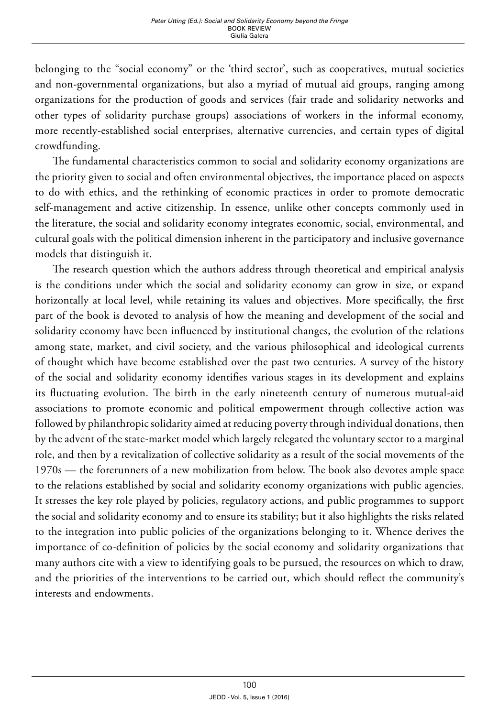belonging to the "social economy" or the 'third sector', such as cooperatives, mutual societies and non-governmental organizations, but also a myriad of mutual aid groups, ranging among organizations for the production of goods and services (fair trade and solidarity networks and other types of solidarity purchase groups) associations of workers in the informal economy, more recently-established social enterprises, alternative currencies, and certain types of digital crowdfunding.

The fundamental characteristics common to social and solidarity economy organizations are the priority given to social and often environmental objectives, the importance placed on aspects to do with ethics, and the rethinking of economic practices in order to promote democratic self-management and active citizenship. In essence, unlike other concepts commonly used in the literature, the social and solidarity economy integrates economic, social, environmental, and cultural goals with the political dimension inherent in the participatory and inclusive governance models that distinguish it.

The research question which the authors address through theoretical and empirical analysis is the conditions under which the social and solidarity economy can grow in size, or expand horizontally at local level, while retaining its values and objectives. More specifically, the first part of the book is devoted to analysis of how the meaning and development of the social and solidarity economy have been influenced by institutional changes, the evolution of the relations among state, market, and civil society, and the various philosophical and ideological currents of thought which have become established over the past two centuries. A survey of the history of the social and solidarity economy identifies various stages in its development and explains its fluctuating evolution. The birth in the early nineteenth century of numerous mutual-aid associations to promote economic and political empowerment through collective action was followed by philanthropic solidarity aimed at reducing poverty through individual donations, then by the advent of the state-market model which largely relegated the voluntary sector to a marginal role, and then by a revitalization of collective solidarity as a result of the social movements of the 1970s — the forerunners of a new mobilization from below. The book also devotes ample space to the relations established by social and solidarity economy organizations with public agencies. It stresses the key role played by policies, regulatory actions, and public programmes to support the social and solidarity economy and to ensure its stability; but it also highlights the risks related to the integration into public policies of the organizations belonging to it. Whence derives the importance of co-definition of policies by the social economy and solidarity organizations that many authors cite with a view to identifying goals to be pursued, the resources on which to draw, and the priorities of the interventions to be carried out, which should reflect the community's interests and endowments.